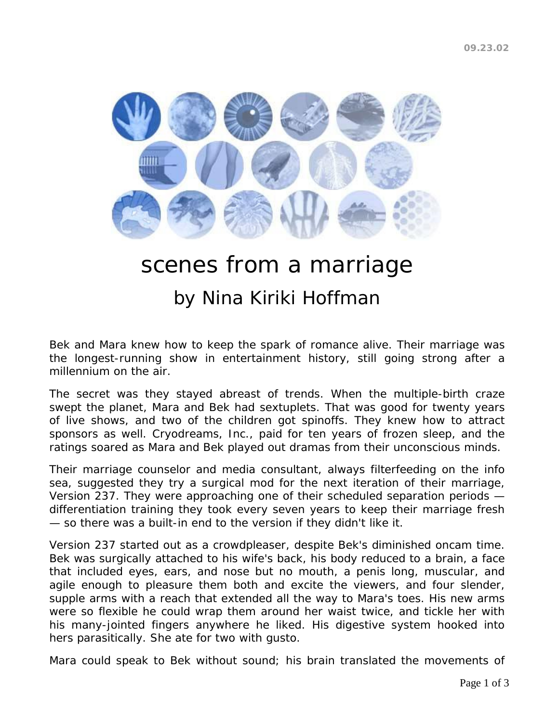

## scenes from a marriage

by Nina Kiriki Hoffman

Bek and Mara knew how to keep the spark of romance alive. Their marriage was the longest-running show in entertainment history, still going strong after a millennium on the air.

The secret was they stayed abreast of trends. When the multiple-birth craze swept the planet, Mara and Bek had sextuplets. That was good for twenty years of live shows, and two of the children got spinoffs. They knew how to attract sponsors as well. Cryodreams, Inc., paid for ten years of frozen sleep, and the ratings soared as Mara and Bek played out dramas from their unconscious minds.

Their marriage counselor and media consultant, always filterfeeding on the info sea, suggested they try a surgical mod for the next iteration of their marriage, Version 237. They were approaching one of their scheduled separation periods differentiation training they took every seven years to keep their marriage fresh — so there was a built-in end to the version if they didn't like it.

Version 237 started out as a crowdpleaser, despite Bek's diminished oncam time. Bek was surgically attached to his wife's back, his body reduced to a brain, a face that included eyes, ears, and nose but no mouth, a penis long, muscular, and agile enough to pleasure them both and excite the viewers, and four slender, supple arms with a reach that extended all the way to Mara's toes. His new arms were so flexible he could wrap them around her waist twice, and tickle her with his many-jointed fingers anywhere he liked. His digestive system hooked into hers parasitically. She ate for two with gusto.

Mara could speak to Bek without sound; his brain translated the movements of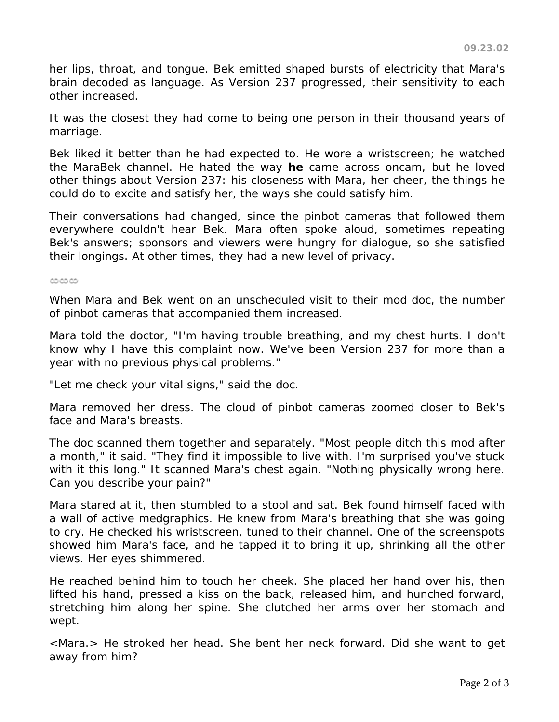her lips, throat, and tongue. Bek emitted shaped bursts of electricity that Mara's brain decoded as language. As Version 237 progressed, their sensitivity to each other increased.

It was the closest they had come to being one person in their thousand years of marriage.

Bek liked it better than he had expected to. He wore a wristscreen; he watched the MaraBek channel. He hated the way **he** came across oncam, but he loved other things about Version 237: his closeness with Mara, her cheer, the things he could do to excite and satisfy her, the ways she could satisfy him.

Their conversations had changed, since the pinbot cameras that followed them everywhere couldn't hear Bek. Mara often spoke aloud, sometimes repeating Bek's answers; sponsors and viewers were hungry for dialogue, so she satisfied their longings. At other times, they had a new level of privacy.

on on on

When Mara and Bek went on an unscheduled visit to their mod doc, the number of pinbot cameras that accompanied them increased.

Mara told the doctor, "I'm having trouble breathing, and my chest hurts. I don't know why I have this complaint now. We've been Version 237 for more than a year with no previous physical problems."

"Let me check your vital signs," said the doc.

Mara removed her dress. The cloud of pinbot cameras zoomed closer to Bek's face and Mara's breasts.

The doc scanned them together and separately. "Most people ditch this mod after a month," it said. "They find it impossible to live with. I'm surprised you've stuck with it this long." It scanned Mara's chest again. "Nothing physically wrong here. Can you describe your pain?"

Mara stared at it, then stumbled to a stool and sat. Bek found himself faced with a wall of active medgraphics. He knew from Mara's breathing that she was going to cry. He checked his wristscreen, tuned to their channel. One of the screenspots showed him Mara's face, and he tapped it to bring it up, shrinking all the other views. Her eyes shimmered.

He reached behind him to touch her cheek. She placed her hand over his, then lifted his hand, pressed a kiss on the back, released him, and hunched forward, stretching him along her spine. She clutched her arms over her stomach and wept.

<Mara.> He stroked her head. She bent her neck forward. Did she want to get away from him?